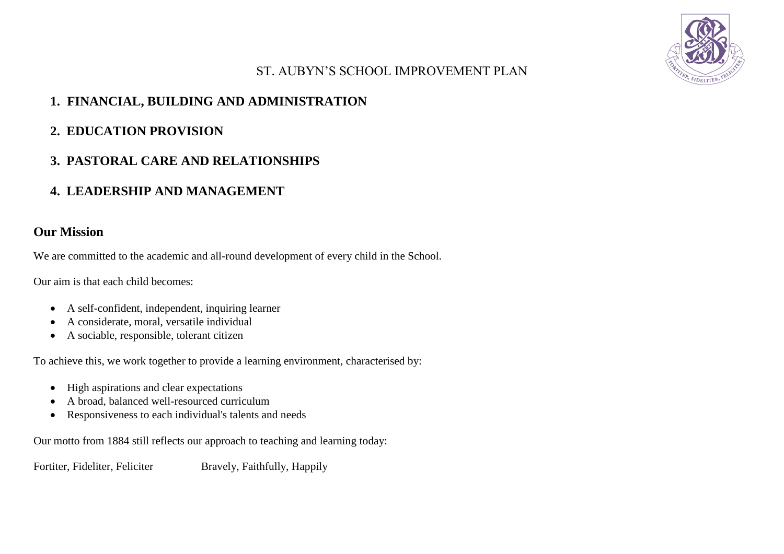

# ST. AUBYN'S SCHOOL IMPROVEMENT PLAN

# **1. FINANCIAL, BUILDING AND ADMINISTRATION**

### **2. EDUCATION PROVISION**

# **3. PASTORAL CARE AND RELATIONSHIPS**

# **4. LEADERSHIP AND MANAGEMENT**

### **Our Mission**

We are committed to the academic and all-round development of every child in the School.

Our aim is that each child becomes:

- A self-confident, independent, inquiring learner
- A considerate, moral, versatile individual
- A sociable, responsible, tolerant citizen

To achieve this, we work together to provide a learning environment, characterised by:

- High aspirations and clear expectations
- A broad, balanced well-resourced curriculum
- Responsiveness to each individual's talents and needs

Our motto from 1884 still reflects our approach to teaching and learning today:

Fortiter, Fideliter, Feliciter Bravely, Faithfully, Happily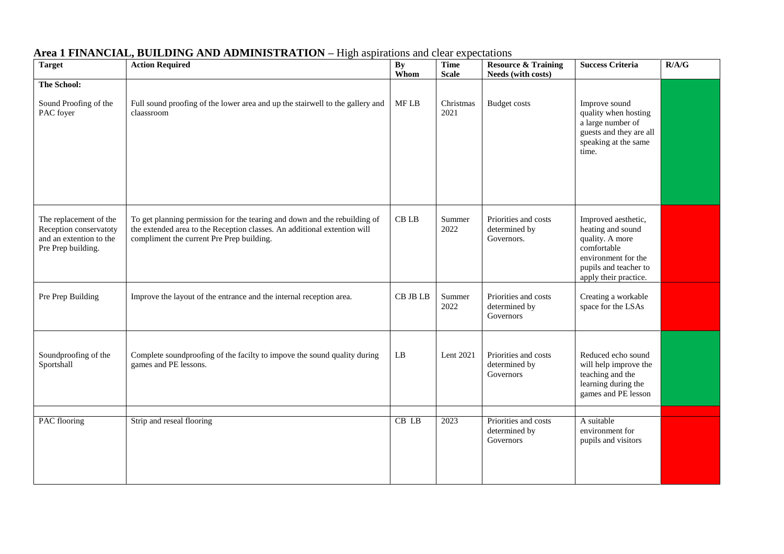| <b>Target</b>                                                                                     | <b>Action Required</b>                                                                                                                                                                             | <b>By</b><br>Whom      | <b>Time</b><br><b>Scale</b> | <b>Resource &amp; Training</b><br>Needs (with costs) | <b>Success Criteria</b>                                                                                                                             | R/A/G |
|---------------------------------------------------------------------------------------------------|----------------------------------------------------------------------------------------------------------------------------------------------------------------------------------------------------|------------------------|-----------------------------|------------------------------------------------------|-----------------------------------------------------------------------------------------------------------------------------------------------------|-------|
| The School:                                                                                       |                                                                                                                                                                                                    |                        |                             |                                                      |                                                                                                                                                     |       |
| Sound Proofing of the<br>PAC foyer                                                                | Full sound proofing of the lower area and up the stairwell to the gallery and<br>claassroom                                                                                                        | $\operatorname{MF}$ LB | Christmas<br>2021           | <b>Budget costs</b>                                  | Improve sound<br>quality when hosting<br>a large number of<br>guests and they are all<br>speaking at the same<br>time.                              |       |
| The replacement of the<br>Reception conservatoty<br>and an extention to the<br>Pre Prep building. | To get planning permission for the tearing and down and the rebuilding of<br>the extended area to the Reception classes. An additional extention will<br>compliment the current Pre Prep building. | $\operatorname{CB}$ LB | Summer<br>2022              | Priorities and costs<br>determined by<br>Governors.  | Improved aesthetic,<br>heating and sound<br>quality. A more<br>comfortable<br>environment for the<br>pupils and teacher to<br>apply their practice. |       |
| Pre Prep Building                                                                                 | Improve the layout of the entrance and the internal reception area.                                                                                                                                | CB JB LB               | Summer<br>2022              | Priorities and costs<br>determined by<br>Governors   | Creating a workable<br>space for the LSAs                                                                                                           |       |
| Soundproofing of the<br>Sportshall                                                                | Complete soundproofing of the facilty to impove the sound quality during<br>games and PE lessons.                                                                                                  | $\mathbf{L}\mathbf{B}$ | Lent 2021                   | Priorities and costs<br>determined by<br>Governors   | Reduced echo sound<br>will help improve the<br>teaching and the<br>learning during the<br>games and PE lesson                                       |       |
|                                                                                                   |                                                                                                                                                                                                    |                        |                             | Priorities and costs                                 |                                                                                                                                                     |       |
| PAC flooring                                                                                      | Strip and reseal flooring                                                                                                                                                                          | $CB$ $LB$              | 2023                        | determined by<br>Governors                           | A suitable<br>environment for<br>pupils and visitors                                                                                                |       |

### **Area 1 FINANCIAL, BUILDING AND ADMINISTRATION –** High aspirations and clear expectations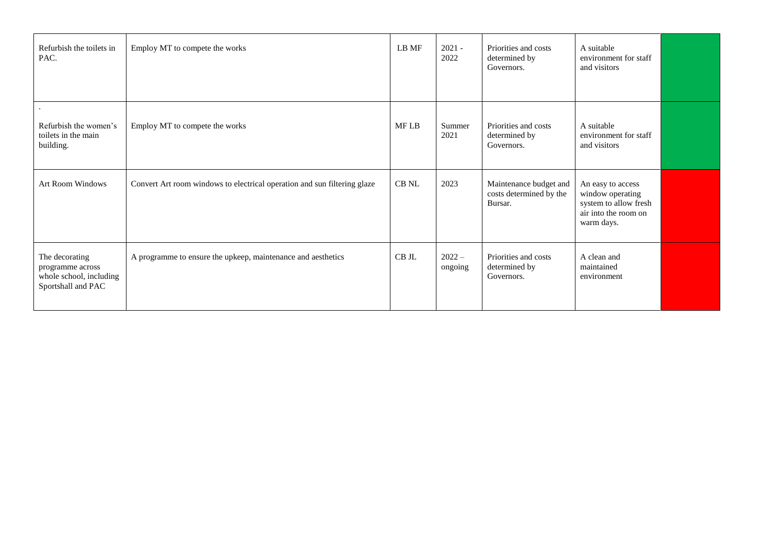| Refurbish the toilets in<br>PAC.                                                    | Employ MT to compete the works                                           | LB MF | $2021 -$<br>2022    | Priorities and costs<br>determined by<br>Governors.          | A suitable<br>environment for staff<br>and visitors                                                  |  |
|-------------------------------------------------------------------------------------|--------------------------------------------------------------------------|-------|---------------------|--------------------------------------------------------------|------------------------------------------------------------------------------------------------------|--|
| Refurbish the women's<br>toilets in the main<br>building.                           | Employ MT to compete the works                                           | MF LB | Summer<br>2021      | Priorities and costs<br>determined by<br>Governors.          | A suitable<br>environment for staff<br>and visitors                                                  |  |
| Art Room Windows                                                                    | Convert Art room windows to electrical operation and sun filtering glaze | CB NL | 2023                | Maintenance budget and<br>costs determined by the<br>Bursar. | An easy to access<br>window operating<br>system to allow fresh<br>air into the room on<br>warm days. |  |
| The decorating<br>programme across<br>whole school, including<br>Sportshall and PAC | A programme to ensure the upkeep, maintenance and aesthetics             | CB JL | $2022 -$<br>ongoing | Priorities and costs<br>determined by<br>Governors.          | A clean and<br>maintained<br>environment                                                             |  |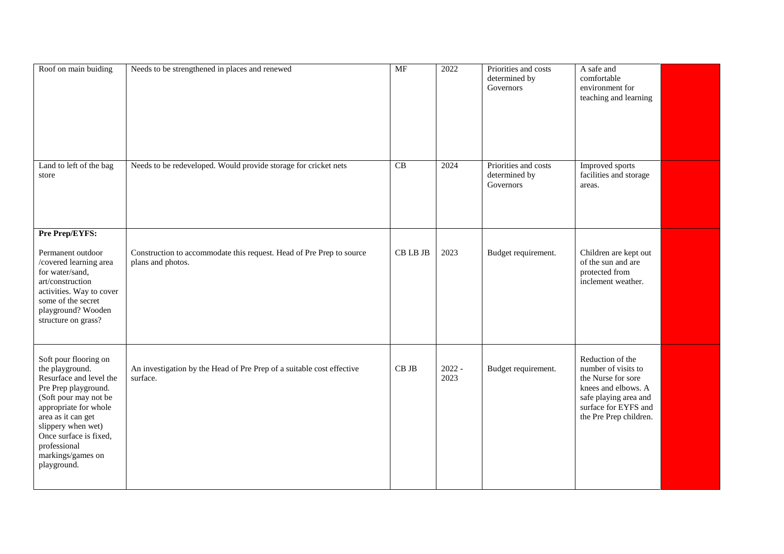| Roof on main buiding                                                                                                                                                                                                                                                    | Needs to be strengthened in places and renewed                                    | $\overline{\text{MF}}$ | 2022             | Priorities and costs<br>determined by<br>Governors | A safe and<br>comfortable<br>environment for<br>teaching and learning                                                                                           |  |
|-------------------------------------------------------------------------------------------------------------------------------------------------------------------------------------------------------------------------------------------------------------------------|-----------------------------------------------------------------------------------|------------------------|------------------|----------------------------------------------------|-----------------------------------------------------------------------------------------------------------------------------------------------------------------|--|
| Land to left of the bag<br>store                                                                                                                                                                                                                                        | Needs to be redeveloped. Would provide storage for cricket nets                   | $\overline{CB}$        | 2024             | Priorities and costs<br>determined by<br>Governors | Improved sports<br>facilities and storage<br>areas.                                                                                                             |  |
| Pre Prep/EYFS:<br>Permanent outdoor                                                                                                                                                                                                                                     | Construction to accommodate this request. Head of Pre Prep to source              | CB LB JB               | 2023             | Budget requirement.                                | Children are kept out                                                                                                                                           |  |
| /covered learning area<br>for water/sand,<br>art/construction<br>activities. Way to cover<br>some of the secret<br>playground? Wooden<br>structure on grass?                                                                                                            | plans and photos.                                                                 |                        |                  |                                                    | of the sun and are<br>protected from<br>inclement weather.                                                                                                      |  |
| Soft pour flooring on<br>the playground.<br>Resurface and level the<br>Pre Prep playground.<br>(Soft pour may not be<br>appropriate for whole<br>area as it can get<br>slippery when wet)<br>Once surface is fixed,<br>professional<br>markings/games on<br>playground. | An investigation by the Head of Pre Prep of a suitable cost effective<br>surface. | $CB$ JB                | $2022 -$<br>2023 | Budget requirement.                                | Reduction of the<br>number of visits to<br>the Nurse for sore<br>knees and elbows. A<br>safe playing area and<br>surface for EYFS and<br>the Pre Prep children. |  |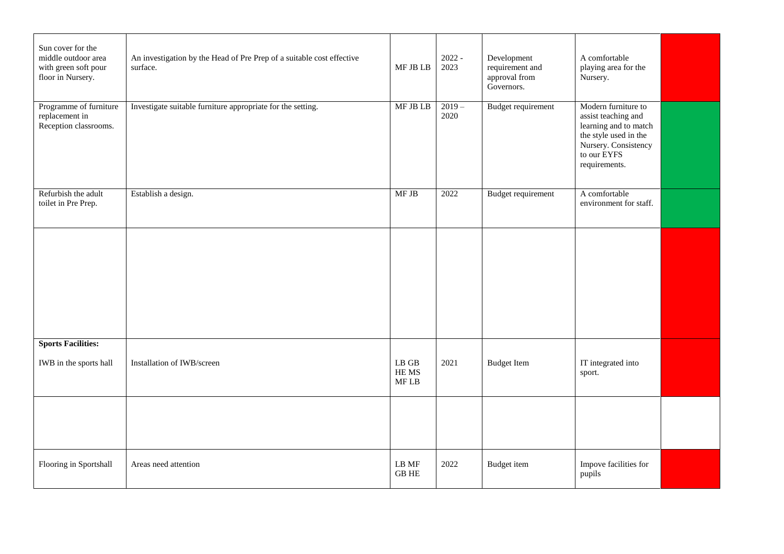| Sun cover for the<br>middle outdoor area<br>with green soft pour<br>floor in Nursery. | An investigation by the Head of Pre Prep of a suitable cost effective<br>surface. | MF JB LB                           | $2022 -$<br>2023 | Development<br>requirement and<br>approval from<br>Governors. | A comfortable<br>playing area for the<br>Nursery.                                                                                                    |  |
|---------------------------------------------------------------------------------------|-----------------------------------------------------------------------------------|------------------------------------|------------------|---------------------------------------------------------------|------------------------------------------------------------------------------------------------------------------------------------------------------|--|
| Programme of furniture<br>replacement in<br>Reception classrooms.                     | Investigate suitable furniture appropriate for the setting.                       | MF JB LB                           | $2019 -$<br>2020 | Budget requirement                                            | Modern furniture to<br>assist teaching and<br>learning and to match<br>the style used in the<br>Nursery. Consistency<br>to our EYFS<br>requirements. |  |
| Refurbish the adult<br>toilet in Pre Prep.                                            | Establish a design.                                                               | MF JB                              | 2022             | Budget requirement                                            | A comfortable<br>environment for staff.                                                                                                              |  |
|                                                                                       |                                                                                   |                                    |                  |                                                               |                                                                                                                                                      |  |
|                                                                                       |                                                                                   |                                    |                  |                                                               |                                                                                                                                                      |  |
| <b>Sports Facilities:</b><br>IWB in the sports hall                                   | Installation of IWB/screen                                                        | $\mathbf{LB}$ GB<br>HE MS<br>MF LB | 2021             | <b>Budget Item</b>                                            | IT integrated into<br>sport.                                                                                                                         |  |
|                                                                                       |                                                                                   |                                    |                  |                                                               |                                                                                                                                                      |  |
| Flooring in Sportshall                                                                | Areas need attention                                                              | LB MF<br><b>GB HE</b>              | 2022             | <b>Budget</b> item                                            | Impove facilities for<br>pupils                                                                                                                      |  |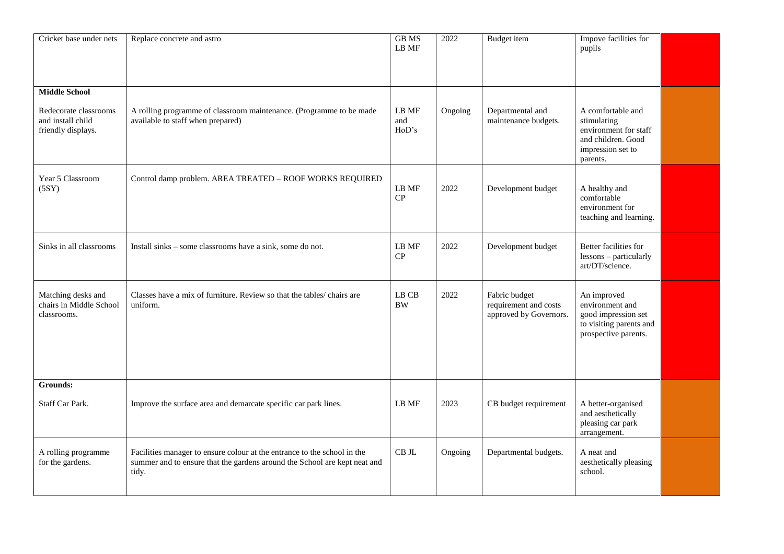| Cricket base under nets                                          | Replace concrete and astro                                                                                                                                     | <b>GB</b> MS<br>LB MF       | 2022    | <b>Budget</b> item                                               | Impove facilities for<br>pupils                                                                                  |  |
|------------------------------------------------------------------|----------------------------------------------------------------------------------------------------------------------------------------------------------------|-----------------------------|---------|------------------------------------------------------------------|------------------------------------------------------------------------------------------------------------------|--|
| <b>Middle School</b>                                             |                                                                                                                                                                |                             |         |                                                                  |                                                                                                                  |  |
| Redecorate classrooms<br>and install child<br>friendly displays. | A rolling programme of classroom maintenance. (Programme to be made<br>available to staff when prepared)                                                       | $\rm LB~MF$<br>and<br>HoD's | Ongoing | Departmental and<br>maintenance budgets.                         | A comfortable and<br>stimulating<br>environment for staff<br>and children. Good<br>impression set to<br>parents. |  |
| Year 5 Classroom<br>(5SY)                                        | Control damp problem. AREA TREATED - ROOF WORKS REQUIRED                                                                                                       | LB MF<br>CP                 | 2022    | Development budget                                               | A healthy and<br>comfortable<br>environment for<br>teaching and learning.                                        |  |
| Sinks in all classrooms                                          | Install sinks - some classrooms have a sink, some do not.                                                                                                      | LB MF<br>CP                 | 2022    | Development budget                                               | Better facilities for<br>lessons - particularly<br>art/DT/science.                                               |  |
| Matching desks and<br>chairs in Middle School<br>classrooms.     | Classes have a mix of furniture. Review so that the tables/ chairs are<br>uniform.                                                                             | LB CB<br><b>BW</b>          | 2022    | Fabric budget<br>requirement and costs<br>approved by Governors. | An improved<br>environment and<br>good impression set<br>to visiting parents and<br>prospective parents.         |  |
| <b>Grounds:</b>                                                  |                                                                                                                                                                |                             |         |                                                                  |                                                                                                                  |  |
| Staff Car Park.                                                  | Improve the surface area and demarcate specific car park lines.                                                                                                | LB MF                       | 2023    | CB budget requirement                                            | A better-organised<br>and aesthetically<br>pleasing car park<br>arrangement.                                     |  |
| A rolling programme<br>for the gardens.                          | Facilities manager to ensure colour at the entrance to the school in the<br>summer and to ensure that the gardens around the School are kept neat and<br>tidy. | CB JL                       | Ongoing | Departmental budgets.                                            | A neat and<br>aesthetically pleasing<br>school.                                                                  |  |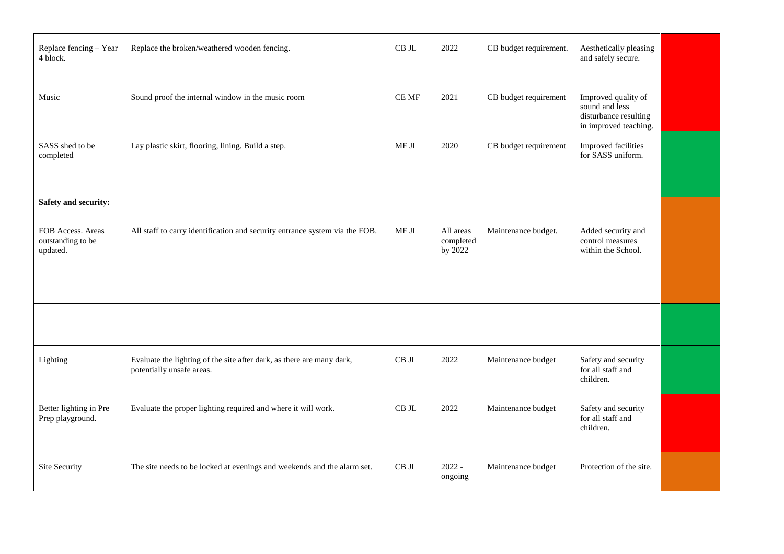| Replace fencing - Year<br>4 block.                                                | Replace the broken/weathered wooden fencing.                                                       | CB JL        | 2022                              | CB budget requirement. | Aesthetically pleasing<br>and safely secure.                                            |  |
|-----------------------------------------------------------------------------------|----------------------------------------------------------------------------------------------------|--------------|-----------------------------------|------------------------|-----------------------------------------------------------------------------------------|--|
| Music                                                                             | Sound proof the internal window in the music room                                                  | $\rm CE~MF$  | 2021                              | CB budget requirement  | Improved quality of<br>sound and less<br>disturbance resulting<br>in improved teaching. |  |
| SASS shed to be<br>completed                                                      | Lay plastic skirt, flooring, lining. Build a step.                                                 | $\rm MF\,JL$ | 2020                              | CB budget requirement  | Improved facilities<br>for SASS uniform.                                                |  |
| <b>Safety and security:</b><br>FOB Access. Areas<br>outstanding to be<br>updated. | All staff to carry identification and security entrance system via the FOB.                        | MF JL        | All areas<br>completed<br>by 2022 | Maintenance budget.    | Added security and<br>control measures<br>within the School.                            |  |
|                                                                                   |                                                                                                    |              |                                   |                        |                                                                                         |  |
| Lighting                                                                          | Evaluate the lighting of the site after dark, as there are many dark,<br>potentially unsafe areas. | $\rm CB~JL$  | 2022                              | Maintenance budget     | Safety and security<br>for all staff and<br>children.                                   |  |
| Better lighting in Pre<br>Prep playground.                                        | Evaluate the proper lighting required and where it will work.                                      | $\rm CB~JL$  | 2022                              | Maintenance budget     | Safety and security<br>for all staff and<br>children.                                   |  |
| Site Security                                                                     | The site needs to be locked at evenings and weekends and the alarm set.                            | $CB$ JL      | $2022 -$<br>ongoing               | Maintenance budget     | Protection of the site.                                                                 |  |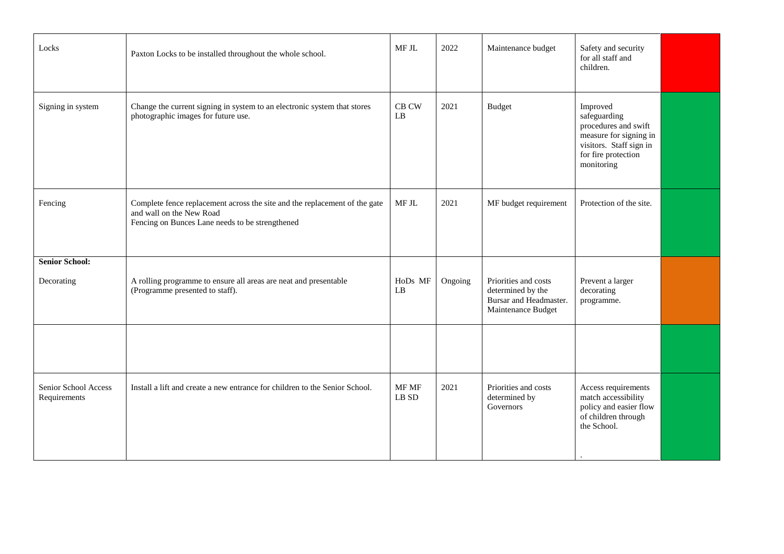| Locks                                | Paxton Locks to be installed throughout the whole school.                                                                                                 | MF JL                                  | 2022    | Maintenance budget                                                                        | Safety and security<br>for all staff and<br>children.                                                                                      |  |
|--------------------------------------|-----------------------------------------------------------------------------------------------------------------------------------------------------------|----------------------------------------|---------|-------------------------------------------------------------------------------------------|--------------------------------------------------------------------------------------------------------------------------------------------|--|
| Signing in system                    | Change the current signing in system to an electronic system that stores<br>photographic images for future use.                                           | $\rm CB~\rm CW$<br>LB                  | 2021    | <b>Budget</b>                                                                             | Improved<br>safeguarding<br>procedures and swift<br>measure for signing in<br>visitors. Staff sign in<br>for fire protection<br>monitoring |  |
| Fencing                              | Complete fence replacement across the site and the replacement of the gate<br>and wall on the New Road<br>Fencing on Bunces Lane needs to be strengthened | MF JL                                  | 2021    | MF budget requirement                                                                     | Protection of the site.                                                                                                                    |  |
| <b>Senior School:</b><br>Decorating  | A rolling programme to ensure all areas are neat and presentable<br>(Programme presented to staff).                                                       | HoDs MF<br>LB                          | Ongoing | Priorities and costs<br>determined by the<br>Bursar and Headmaster.<br>Maintenance Budget | Prevent a larger<br>decorating<br>programme.                                                                                               |  |
|                                      |                                                                                                                                                           |                                        |         |                                                                                           |                                                                                                                                            |  |
| Senior School Access<br>Requirements | Install a lift and create a new entrance for children to the Senior School.                                                                               | MF MF<br>$\mathop{\rm LB}\nolimits$ SD | 2021    | Priorities and costs<br>determined by<br>Governors                                        | Access requirements<br>match accessibility<br>policy and easier flow<br>of children through<br>the School.                                 |  |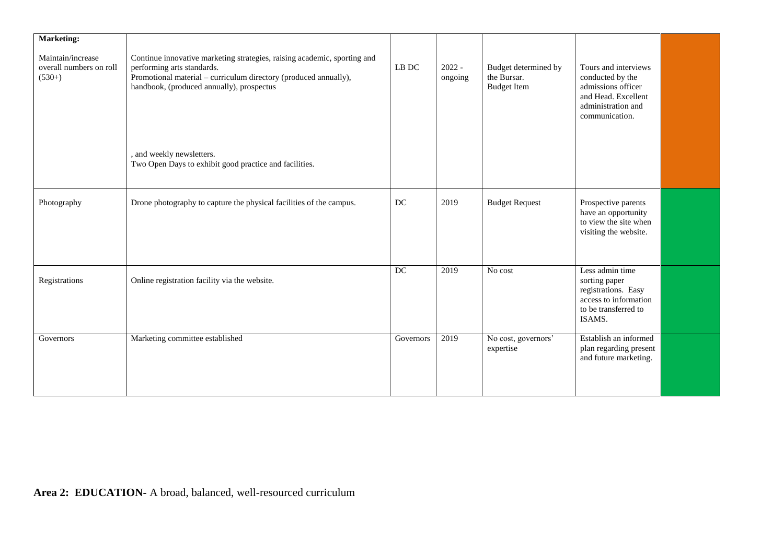| <b>Marketing:</b>                                        |                                                                                                                                                                                                                         |           |                     |                                                           |                                                                                                                               |  |
|----------------------------------------------------------|-------------------------------------------------------------------------------------------------------------------------------------------------------------------------------------------------------------------------|-----------|---------------------|-----------------------------------------------------------|-------------------------------------------------------------------------------------------------------------------------------|--|
| Maintain/increase<br>overall numbers on roll<br>$(530+)$ | Continue innovative marketing strategies, raising academic, sporting and<br>performing arts standards.<br>Promotional material – curriculum directory (produced annually),<br>handbook, (produced annually), prospectus | LB DC     | $2022 -$<br>ongoing | Budget determined by<br>the Bursar.<br><b>Budget Item</b> | Tours and interviews<br>conducted by the<br>admissions officer<br>and Head. Excellent<br>administration and<br>communication. |  |
|                                                          | and weekly newsletters.<br>Two Open Days to exhibit good practice and facilities.                                                                                                                                       |           |                     |                                                           |                                                                                                                               |  |
| Photography                                              | Drone photography to capture the physical facilities of the campus.                                                                                                                                                     | DC        | 2019                | <b>Budget Request</b>                                     | Prospective parents<br>have an opportunity<br>to view the site when<br>visiting the website.                                  |  |
| Registrations                                            | Online registration facility via the website.                                                                                                                                                                           | DC        | 2019                | No cost                                                   | Less admin time<br>sorting paper<br>registrations. Easy<br>access to information<br>to be transferred to<br>ISAMS.            |  |
| Governors                                                | Marketing committee established                                                                                                                                                                                         | Governors | 2019                | No cost, governors'<br>expertise                          | Establish an informed<br>plan regarding present<br>and future marketing.                                                      |  |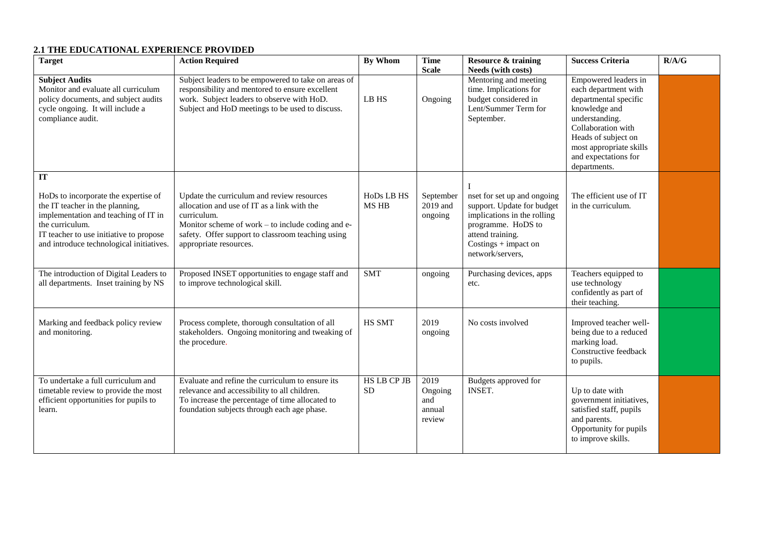### **2.1 THE EDUCATIONAL EXPERIENCE PROVIDED**

| <b>Target</b>                                                                                                                                                                                                                          | <b>Action Required</b>                                                                                                                                                                                                                       | <b>By Whom</b>            | <b>Time</b><br><b>Scale</b>                | <b>Resource &amp; training</b><br>Needs (with costs)                                                                                                                             | <b>Success Criteria</b>                                                                                                                                                                                                  | R/A/G |
|----------------------------------------------------------------------------------------------------------------------------------------------------------------------------------------------------------------------------------------|----------------------------------------------------------------------------------------------------------------------------------------------------------------------------------------------------------------------------------------------|---------------------------|--------------------------------------------|----------------------------------------------------------------------------------------------------------------------------------------------------------------------------------|--------------------------------------------------------------------------------------------------------------------------------------------------------------------------------------------------------------------------|-------|
| <b>Subject Audits</b><br>Monitor and evaluate all curriculum<br>policy documents, and subject audits<br>cycle ongoing. It will include a<br>compliance audit.                                                                          | Subject leaders to be empowered to take on areas of<br>responsibility and mentored to ensure excellent<br>work. Subject leaders to observe with HoD.<br>Subject and HoD meetings to be used to discuss.                                      | LB HS                     | Ongoing                                    | Mentoring and meeting<br>time. Implications for<br>budget considered in<br>Lent/Summer Term for<br>September.                                                                    | Empowered leaders in<br>each department with<br>departmental specific<br>knowledge and<br>understanding.<br>Collaboration with<br>Heads of subject on<br>most appropriate skills<br>and expectations for<br>departments. |       |
| <b>IT</b><br>HoDs to incorporate the expertise of<br>the IT teacher in the planning,<br>implementation and teaching of IT in<br>the curriculum.<br>IT teacher to use initiative to propose<br>and introduce technological initiatives. | Update the curriculum and review resources<br>allocation and use of IT as a link with the<br>curriculum.<br>Monitor scheme of work – to include coding and e-<br>safety. Offer support to classroom teaching using<br>appropriate resources. | HoDs LB HS<br>MS HB       | September<br>2019 and<br>ongoing           | nset for set up and ongoing<br>support. Update for budget<br>implications in the rolling<br>programme. HoDS to<br>attend training.<br>$Costings + impact on$<br>network/servers, | The efficient use of IT<br>in the curriculum.                                                                                                                                                                            |       |
| The introduction of Digital Leaders to<br>all departments. Inset training by NS                                                                                                                                                        | Proposed INSET opportunities to engage staff and<br>to improve technological skill.                                                                                                                                                          | <b>SMT</b>                | ongoing                                    | Purchasing devices, apps<br>etc.                                                                                                                                                 | Teachers equipped to<br>use technology<br>confidently as part of<br>their teaching.                                                                                                                                      |       |
| Marking and feedback policy review<br>and monitoring.                                                                                                                                                                                  | Process complete, thorough consultation of all<br>stakeholders. Ongoing monitoring and tweaking of<br>the procedure.                                                                                                                         | HS SMT                    | 2019<br>ongoing                            | No costs involved                                                                                                                                                                | Improved teacher well-<br>being due to a reduced<br>marking load.<br>Constructive feedback<br>to pupils.                                                                                                                 |       |
| To undertake a full curriculum and<br>timetable review to provide the most<br>efficient opportunities for pupils to<br>learn.                                                                                                          | Evaluate and refine the curriculum to ensure its<br>relevance and accessibility to all children.<br>To increase the percentage of time allocated to<br>foundation subjects through each age phase.                                           | HS LB CP JB<br>${\rm SD}$ | 2019<br>Ongoing<br>and<br>annual<br>review | Budgets approved for<br><b>INSET.</b>                                                                                                                                            | Up to date with<br>government initiatives,<br>satisfied staff, pupils<br>and parents.<br>Opportunity for pupils<br>to improve skills.                                                                                    |       |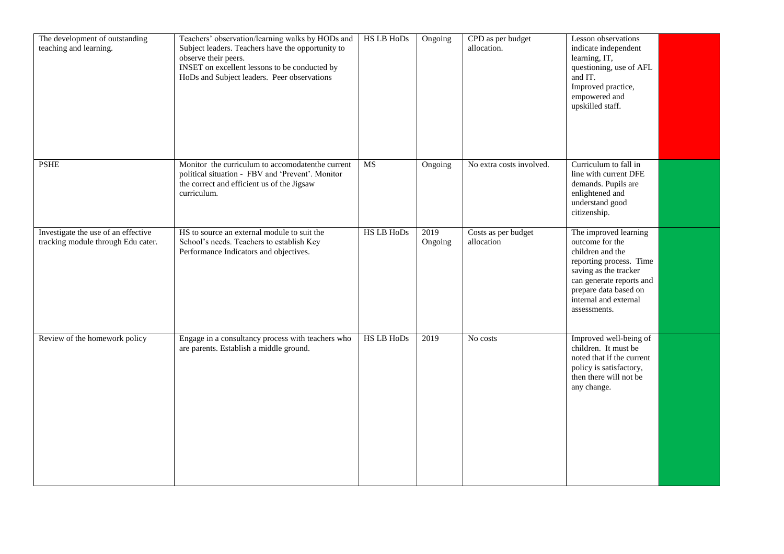| The development of outstanding<br>teaching and learning.                  | Teachers' observation/learning walks by HODs and<br>Subject leaders. Teachers have the opportunity to<br>observe their peers.<br>INSET on excellent lessons to be conducted by<br>HoDs and Subject leaders. Peer observations | <b>HS LB HoDs</b> | Ongoing         | CPD as per budget<br>allocation.  | Lesson observations<br>indicate independent<br>learning, IT,<br>questioning, use of AFL<br>and IT.<br>Improved practice,<br>empowered and<br>upskilled staff.                                                  |  |
|---------------------------------------------------------------------------|-------------------------------------------------------------------------------------------------------------------------------------------------------------------------------------------------------------------------------|-------------------|-----------------|-----------------------------------|----------------------------------------------------------------------------------------------------------------------------------------------------------------------------------------------------------------|--|
| <b>PSHE</b>                                                               | Monitor the curriculum to accomodatenthe current<br>political situation - FBV and 'Prevent'. Monitor<br>the correct and efficient us of the Jigsaw<br>curriculum.                                                             | MS                | Ongoing         | No extra costs involved.          | Curriculum to fall in<br>line with current DFE<br>demands. Pupils are<br>enlightened and<br>understand good<br>citizenship.                                                                                    |  |
| Investigate the use of an effective<br>tracking module through Edu cater. | HS to source an external module to suit the<br>School's needs. Teachers to establish Key<br>Performance Indicators and objectives.                                                                                            | <b>HS LB HoDs</b> | 2019<br>Ongoing | Costs as per budget<br>allocation | The improved learning<br>outcome for the<br>children and the<br>reporting process. Time<br>saving as the tracker<br>can generate reports and<br>prepare data based on<br>internal and external<br>assessments. |  |
| Review of the homework policy                                             | Engage in a consultancy process with teachers who<br>are parents. Establish a middle ground.                                                                                                                                  | <b>HS LB HoDs</b> | 2019            | No costs                          | Improved well-being of<br>children. It must be<br>noted that if the current<br>policy is satisfactory,<br>then there will not be<br>any change.                                                                |  |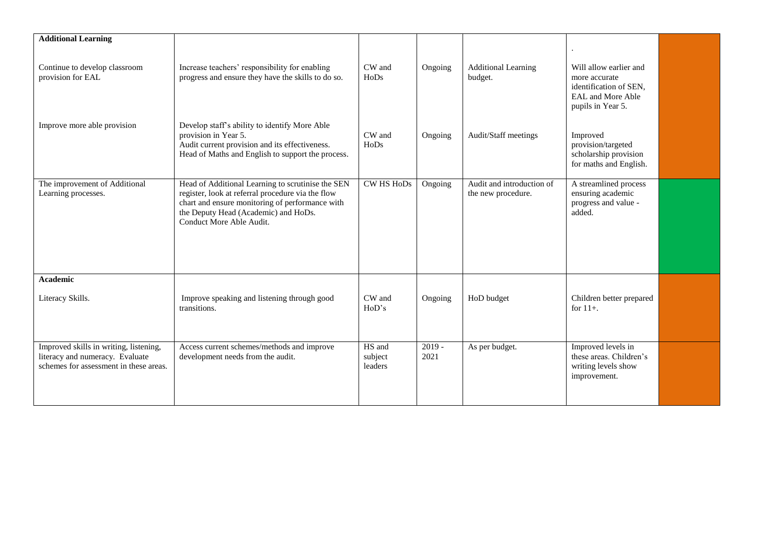| <b>Additional Learning</b>                                                                                          |                                                                                                                                                                                                                               |                              |                  |                                                 |                                                                                                             |  |
|---------------------------------------------------------------------------------------------------------------------|-------------------------------------------------------------------------------------------------------------------------------------------------------------------------------------------------------------------------------|------------------------------|------------------|-------------------------------------------------|-------------------------------------------------------------------------------------------------------------|--|
| Continue to develop classroom<br>provision for EAL                                                                  | Increase teachers' responsibility for enabling<br>progress and ensure they have the skills to do so.                                                                                                                          | CW and<br>HoDs               | Ongoing          | <b>Additional Learning</b><br>budget.           | Will allow earlier and<br>more accurate<br>identification of SEN.<br>EAL and More Able<br>pupils in Year 5. |  |
| Improve more able provision                                                                                         | Develop staff's ability to identify More Able<br>provision in Year 5.<br>Audit current provision and its effectiveness.<br>Head of Maths and English to support the process.                                                  | CW and<br>HoDs               | Ongoing          | Audit/Staff meetings                            | Improved<br>provision/targeted<br>scholarship provision<br>for maths and English.                           |  |
| The improvement of Additional<br>Learning processes.                                                                | Head of Additional Learning to scrutinise the SEN<br>register, look at referral procedure via the flow<br>chart and ensure monitoring of performance with<br>the Deputy Head (Academic) and HoDs.<br>Conduct More Able Audit. | <b>CW HS HoDs</b>            | Ongoing          | Audit and introduction of<br>the new procedure. | A streamlined process<br>ensuring academic<br>progress and value -<br>added.                                |  |
| <b>Academic</b><br>Literacy Skills.                                                                                 | Improve speaking and listening through good<br>transitions.                                                                                                                                                                   | CW and<br>HoD's              | Ongoing          | HoD budget                                      | Children better prepared<br>for $11+$ .                                                                     |  |
| Improved skills in writing, listening,<br>literacy and numeracy. Evaluate<br>schemes for assessment in these areas. | Access current schemes/methods and improve<br>development needs from the audit.                                                                                                                                               | HS and<br>subject<br>leaders | $2019 -$<br>2021 | As per budget.                                  | Improved levels in<br>these areas. Children's<br>writing levels show<br>improvement.                        |  |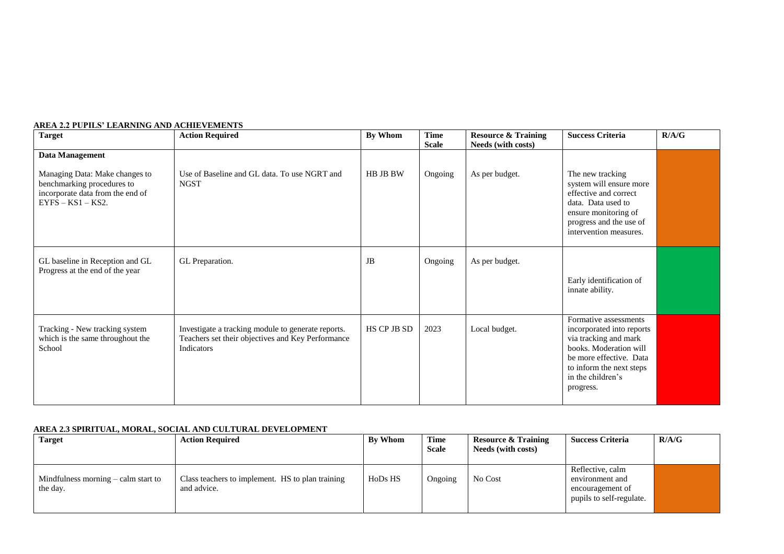| <b>Target</b>                                                                                                           | <b>Action Required</b>                                                                                                | By Whom     | <b>Time</b><br><b>Scale</b> | <b>Resource &amp; Training</b><br>Needs (with costs) | <b>Success Criteria</b>                                                                                                                                                                        | R/A/G |
|-------------------------------------------------------------------------------------------------------------------------|-----------------------------------------------------------------------------------------------------------------------|-------------|-----------------------------|------------------------------------------------------|------------------------------------------------------------------------------------------------------------------------------------------------------------------------------------------------|-------|
| <b>Data Management</b>                                                                                                  |                                                                                                                       |             |                             |                                                      |                                                                                                                                                                                                |       |
| Managing Data: Make changes to<br>benchmarking procedures to<br>incorporate data from the end of<br>$EYFS - KS1 - KS2.$ | Use of Baseline and GL data. To use NGRT and<br><b>NGST</b>                                                           | HB JB BW    | Ongoing                     | As per budget.                                       | The new tracking<br>system will ensure more<br>effective and correct<br>data. Data used to<br>ensure monitoring of<br>progress and the use of<br>intervention measures.                        |       |
| GL baseline in Reception and GL<br>Progress at the end of the year                                                      | GL Preparation.                                                                                                       | JB          | Ongoing                     | As per budget.                                       | Early identification of<br>innate ability.                                                                                                                                                     |       |
| Tracking - New tracking system<br>which is the same throughout the<br>School                                            | Investigate a tracking module to generate reports.<br>Teachers set their objectives and Key Performance<br>Indicators | HS CP JB SD | 2023                        | Local budget.                                        | Formative assessments<br>incorporated into reports<br>via tracking and mark<br>books. Moderation will<br>be more effective. Data<br>to inform the next steps<br>in the children's<br>progress. |       |

#### **AREA 2.2 PUPILS' LEARNING AND ACHIEVEMENTS**

### **AREA 2.3 SPIRITUAL, MORAL, SOCIAL AND CULTURAL DEVELOPMENT**

| <b>Target</b>                                           | <b>Action Required</b>                                          | <b>By Whom</b> | <b>Time</b><br><b>Scale</b> | <b>Resource &amp; Training</b><br>Needs (with costs) | <b>Success Criteria</b>                                                             | R/A/G |
|---------------------------------------------------------|-----------------------------------------------------------------|----------------|-----------------------------|------------------------------------------------------|-------------------------------------------------------------------------------------|-------|
| Mindfulness morning $-\text{calm}$ start to<br>the day. | Class teachers to implement. HS to plan training<br>and advice. | HoDs HS        | Ongoing                     | No Cost                                              | Reflective, calm<br>environment and<br>encouragement of<br>pupils to self-regulate. |       |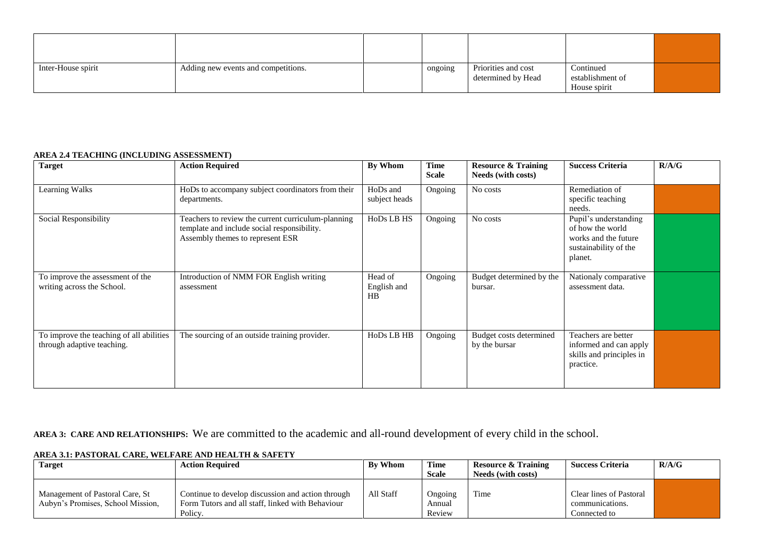| Inter-House spirit | Adding new events and competitions. | ongoing | Priorities and cost<br>determined by Head | Continued<br>establishment of<br>House spirit |  |
|--------------------|-------------------------------------|---------|-------------------------------------------|-----------------------------------------------|--|

### **AREA 2.4 TEACHING (INCLUDING ASSESSMENT)**

| <b>Target</b>                                                          | <b>Action Required</b>                                                                                                                | By Whom                      | Time<br><b>Scale</b> | <b>Resource &amp; Training</b><br>Needs (with costs) | <b>Success Criteria</b>                                                                               | R/A/G |
|------------------------------------------------------------------------|---------------------------------------------------------------------------------------------------------------------------------------|------------------------------|----------------------|------------------------------------------------------|-------------------------------------------------------------------------------------------------------|-------|
| Learning Walks                                                         | HoDs to accompany subject coordinators from their<br>departments.                                                                     | HoDs and<br>subject heads    | Ongoing              | No costs                                             | Remediation of<br>specific teaching<br>needs.                                                         |       |
| Social Responsibility                                                  | Teachers to review the current curriculum-planning<br>template and include social responsibility.<br>Assembly themes to represent ESR | HoDs LB HS                   | Ongoing              | No costs                                             | Pupil's understanding<br>of how the world<br>works and the future<br>sustainability of the<br>planet. |       |
| To improve the assessment of the<br>writing across the School.         | Introduction of NMM FOR English writing<br>assessment                                                                                 | Head of<br>English and<br>HB | Ongoing              | Budget determined by the<br>bursar.                  | Nationaly comparative<br>assessment data.                                                             |       |
| To improve the teaching of all abilities<br>through adaptive teaching. | The sourcing of an outside training provider.                                                                                         | HoDs LB HB                   | Ongoing              | Budget costs determined<br>by the bursar             | Teachers are better<br>informed and can apply<br>skills and principles in<br>practice.                |       |

**AREA 3: CARE AND RELATIONSHIPS:** We are committed to the academic and all-round development of every child in the school.

| AREA 3.1: PASTORAL CARE. WELFARE AND HEALTH & SAFETY |
|------------------------------------------------------|
|                                                      |

| Target                                                               | <b>Action Required</b>                                                                                           | <b>By Whom</b> | <b>Time</b><br><b>Scale</b> | <b>Resource &amp; Training</b><br>Needs (with costs) | <b>Success Criteria</b>                                    | R/A/G |
|----------------------------------------------------------------------|------------------------------------------------------------------------------------------------------------------|----------------|-----------------------------|------------------------------------------------------|------------------------------------------------------------|-------|
| Management of Pastoral Care, St<br>Aubyn's Promises, School Mission, | Continue to develop discussion and action through<br>Form Tutors and all staff, linked with Behaviour<br>Policy. | All Staff      | Ongoing<br>Annual<br>Review | Time                                                 | Clear lines of Pastoral<br>communications.<br>Connected to |       |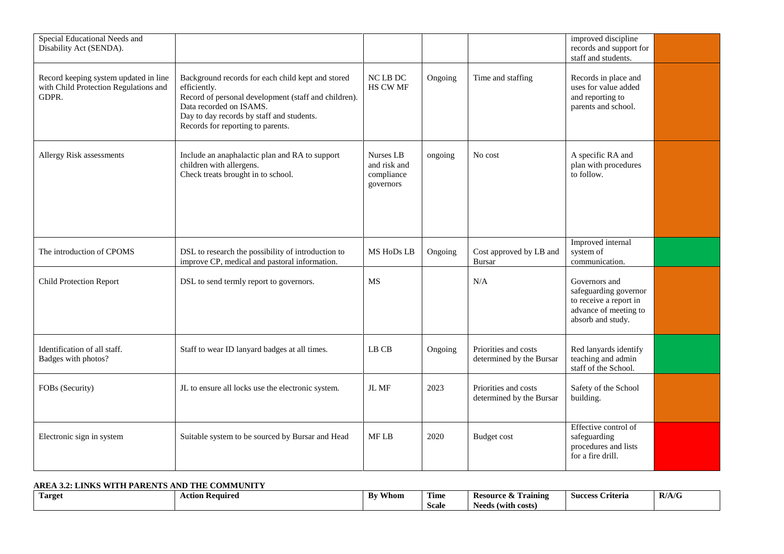| Special Educational Needs and<br>Disability Act (SENDA).                                |                                                                                                                                                                                                                                        |                                                      |         |                                                  | improved discipline<br>records and support for<br>staff and students.                                          |  |
|-----------------------------------------------------------------------------------------|----------------------------------------------------------------------------------------------------------------------------------------------------------------------------------------------------------------------------------------|------------------------------------------------------|---------|--------------------------------------------------|----------------------------------------------------------------------------------------------------------------|--|
| Record keeping system updated in line<br>with Child Protection Regulations and<br>GDPR. | Background records for each child kept and stored<br>efficiently.<br>Record of personal development (staff and children).<br>Data recorded on ISAMS.<br>Day to day records by staff and students.<br>Records for reporting to parents. | $NC$ LB $DC$<br>HS CW MF                             | Ongoing | Time and staffing                                | Records in place and<br>uses for value added<br>and reporting to<br>parents and school.                        |  |
| Allergy Risk assessments                                                                | Include an anaphalactic plan and RA to support<br>children with allergens.<br>Check treats brought in to school.                                                                                                                       | Nurses LB<br>and risk and<br>compliance<br>governors | ongoing | No cost                                          | A specific RA and<br>plan with procedures<br>to follow.                                                        |  |
| The introduction of CPOMS                                                               | DSL to research the possibility of introduction to<br>improve CP, medical and pastoral information.                                                                                                                                    | MS HoDs LB                                           | Ongoing | Cost approved by LB and<br><b>Bursar</b>         | Improved internal<br>system of<br>communication.                                                               |  |
| <b>Child Protection Report</b>                                                          | DSL to send termly report to governors.                                                                                                                                                                                                | MS                                                   |         | N/A                                              | Governors and<br>safeguarding governor<br>to receive a report in<br>advance of meeting to<br>absorb and study. |  |
| Identification of all staff.<br>Badges with photos?                                     | Staff to wear ID lanyard badges at all times.                                                                                                                                                                                          | LB CB                                                | Ongoing | Priorities and costs<br>determined by the Bursar | Red lanyards identify<br>teaching and admin<br>staff of the School.                                            |  |
| FOBs (Security)                                                                         | JL to ensure all locks use the electronic system.                                                                                                                                                                                      | JL MF                                                | 2023    | Priorities and costs<br>determined by the Bursar | Safety of the School<br>building.                                                                              |  |
| Electronic sign in system                                                               | Suitable system to be sourced by Bursar and Head                                                                                                                                                                                       | MF LB                                                | 2020    | <b>Budget</b> cost                               | Effective control of<br>safeguarding<br>procedures and lists<br>for a fire drill.                              |  |

### **AREA 3.2: LINKS WITH PARENTS AND THE COMMUNITY**

| Target | \ction Required<br>nuu | Whom<br>$\mathbf{B}$ | <b>FIRE</b><br>Time | Resourc<br><b>amıng</b> : | $\sim$<br>Criteria<br><b>Success</b> | $10^{1}$<br>R/A/G |
|--------|------------------------|----------------------|---------------------|---------------------------|--------------------------------------|-------------------|
|        |                        |                      | <b>Scale</b>        | (with costs)<br>Needs     |                                      |                   |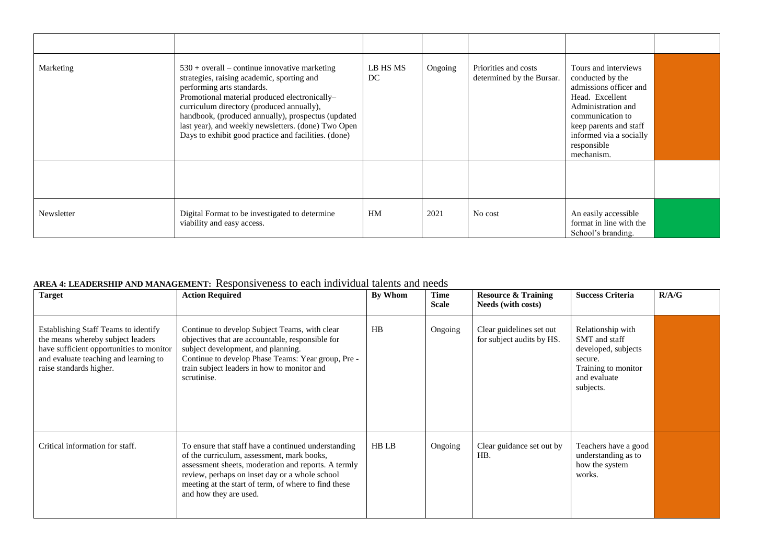| Marketing  | $530 + overall - continue innovative marketing$<br>strategies, raising academic, sporting and<br>performing arts standards.<br>Promotional material produced electronically-<br>curriculum directory (produced annually),<br>handbook, (produced annually), prospectus (updated<br>last year), and weekly newsletters. (done) Two Open<br>Days to exhibit good practice and facilities. (done) | LB HS MS<br>DC. | Ongoing | Priorities and costs<br>determined by the Bursar. | Tours and interviews<br>conducted by the<br>admissions officer and<br>Head. Excellent<br>Administration and<br>communication to<br>keep parents and staff<br>informed via a socially<br>responsible<br>mechanism. |  |
|------------|------------------------------------------------------------------------------------------------------------------------------------------------------------------------------------------------------------------------------------------------------------------------------------------------------------------------------------------------------------------------------------------------|-----------------|---------|---------------------------------------------------|-------------------------------------------------------------------------------------------------------------------------------------------------------------------------------------------------------------------|--|
|            |                                                                                                                                                                                                                                                                                                                                                                                                |                 |         |                                                   |                                                                                                                                                                                                                   |  |
| Newsletter | Digital Format to be investigated to determine<br>viability and easy access.                                                                                                                                                                                                                                                                                                                   | HM              | 2021    | No cost                                           | An easily accessible<br>format in line with the<br>School's branding.                                                                                                                                             |  |

# **AREA 4: LEADERSHIP AND MANAGEMENT:** Responsiveness to each individual talents and needs

| <b>Target</b>                                                                                                                                                                             | <b>Action Required</b>                                                                                                                                                                                                                                                                       | By Whom | Time<br><b>Scale</b> | <b>Resource &amp; Training</b><br>Needs (with costs)  | <b>Success Criteria</b>                                                                                                         | R/A/G |
|-------------------------------------------------------------------------------------------------------------------------------------------------------------------------------------------|----------------------------------------------------------------------------------------------------------------------------------------------------------------------------------------------------------------------------------------------------------------------------------------------|---------|----------------------|-------------------------------------------------------|---------------------------------------------------------------------------------------------------------------------------------|-------|
| Establishing Staff Teams to identify<br>the means whereby subject leaders<br>have sufficient opportunities to monitor<br>and evaluate teaching and learning to<br>raise standards higher. | Continue to develop Subject Teams, with clear<br>objectives that are accountable, responsible for<br>subject development, and planning.<br>Continue to develop Phase Teams: Year group, Pre -<br>train subject leaders in how to monitor and<br>scrutinise.                                  | HB      | Ongoing              | Clear guidelines set out<br>for subject audits by HS. | Relationship with<br><b>SMT</b> and staff<br>developed, subjects<br>secure.<br>Training to monitor<br>and evaluate<br>subjects. |       |
| Critical information for staff.                                                                                                                                                           | To ensure that staff have a continued understanding<br>of the curriculum, assessment, mark books,<br>assessment sheets, moderation and reports. A termly<br>review, perhaps on inset day or a whole school<br>meeting at the start of term, of where to find these<br>and how they are used. | HB LB   | Ongoing              | Clear guidance set out by<br>HB.                      | Teachers have a good<br>understanding as to<br>how the system<br>works.                                                         |       |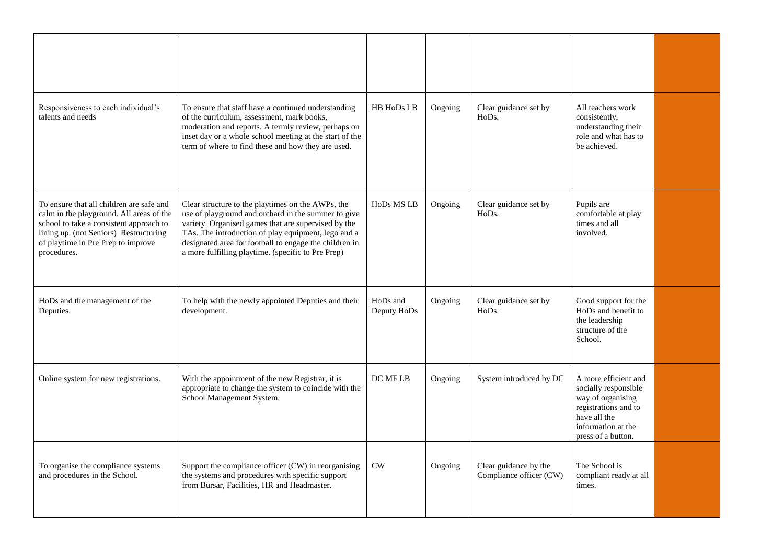| Responsiveness to each individual's<br>talents and needs                                                                                                                                                                       | To ensure that staff have a continued understanding<br>of the curriculum, assessment, mark books,<br>moderation and reports. A termly review, perhaps on<br>inset day or a whole school meeting at the start of the<br>term of where to find these and how they are used.                                                              | HB HoDs LB              | Ongoing | Clear guidance set by<br>HoDs.                           | All teachers work<br>consistently,<br>understanding their<br>role and what has to<br>be achieved.                                                     |  |
|--------------------------------------------------------------------------------------------------------------------------------------------------------------------------------------------------------------------------------|----------------------------------------------------------------------------------------------------------------------------------------------------------------------------------------------------------------------------------------------------------------------------------------------------------------------------------------|-------------------------|---------|----------------------------------------------------------|-------------------------------------------------------------------------------------------------------------------------------------------------------|--|
| To ensure that all children are safe and<br>calm in the playground. All areas of the<br>school to take a consistent approach to<br>lining up. (not Seniors) Restructuring<br>of playtime in Pre Prep to improve<br>procedures. | Clear structure to the playtimes on the AWPs, the<br>use of playground and orchard in the summer to give<br>variety. Organised games that are supervised by the<br>TAs. The introduction of play equipment, lego and a<br>designated area for football to engage the children in<br>a more fulfilling playtime. (specific to Pre Prep) | HoDs MS LB              | Ongoing | Clear guidance set by<br>HoDs.                           | Pupils are<br>comfortable at play<br>times and all<br>involved.                                                                                       |  |
| HoDs and the management of the<br>Deputies.                                                                                                                                                                                    | To help with the newly appointed Deputies and their<br>development.                                                                                                                                                                                                                                                                    | HoDs and<br>Deputy HoDs | Ongoing | Clear guidance set by<br>H <sub>o</sub> D <sub>s</sub> . | Good support for the<br>HoDs and benefit to<br>the leadership<br>structure of the<br>School.                                                          |  |
| Online system for new registrations.                                                                                                                                                                                           | With the appointment of the new Registrar, it is<br>appropriate to change the system to coincide with the<br>School Management System.                                                                                                                                                                                                 | DC MF LB                | Ongoing | System introduced by DC                                  | A more efficient and<br>socially responsible<br>way of organising<br>registrations and to<br>have all the<br>information at the<br>press of a button. |  |
| To organise the compliance systems<br>and procedures in the School.                                                                                                                                                            | Support the compliance officer (CW) in reorganising<br>the systems and procedures with specific support<br>from Bursar, Facilities, HR and Headmaster.                                                                                                                                                                                 | CW                      | Ongoing | Clear guidance by the<br>Compliance officer (CW)         | The School is<br>compliant ready at all<br>times.                                                                                                     |  |